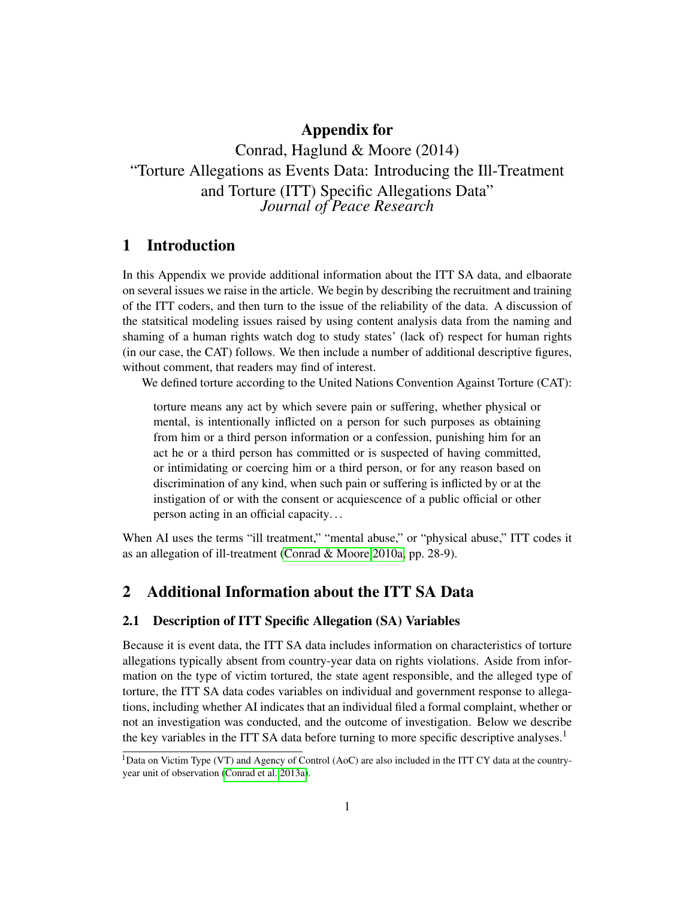## Appendix for

Conrad, Haglund & Moore (2014) "Torture Allegations as Events Data: Introducing the Ill-Treatment and Torture (ITT) Specific Allegations Data" *Journal of Peace Research*

# 1 Introduction

In this Appendix we provide additional information about the ITT SA data, and elbaorate on several issues we raise in the article. We begin by describing the recruitment and training of the ITT coders, and then turn to the issue of the reliability of the data. A discussion of the statsitical modeling issues raised by using content analysis data from the naming and shaming of a human rights watch dog to study states' (lack of) respect for human rights (in our case, the CAT) follows. We then include a number of additional descriptive figures, without comment, that readers may find of interest.

We defined torture according to the United Nations Convention Against Torture (CAT):

torture means any act by which severe pain or suffering, whether physical or mental, is intentionally inflicted on a person for such purposes as obtaining from him or a third person information or a confession, punishing him for an act he or a third person has committed or is suspected of having committed, or intimidating or coercing him or a third person, or for any reason based on discrimination of any kind, when such pain or suffering is inflicted by or at the instigation of or with the consent or acquiescence of a public official or other person acting in an official capacity. . .

When AI uses the terms "ill treatment," "mental abuse," or "physical abuse," ITT codes it as an allegation of ill-treatment [\(Conrad & Moore 2010a,](#page-15-0) pp. 28-9).

## 2 Additional Information about the ITT SA Data

#### 2.1 Description of ITT Specific Allegation (SA) Variables

Because it is event data, the ITT SA data includes information on characteristics of torture allegations typically absent from country-year data on rights violations. Aside from information on the type of victim tortured, the state agent responsible, and the alleged type of torture, the ITT SA data codes variables on individual and government response to allegations, including whether AI indicates that an individual filed a formal complaint, whether or not an investigation was conducted, and the outcome of investigation. Below we describe the key variables in the ITT SA data before turning to more specific descriptive analyses.<sup>1</sup>

<sup>&</sup>lt;sup>1</sup>Data on Victim Type (VT) and Agency of Control (AoC) are also included in the ITT CY data at the countryyear unit of observation [\(Conrad et al. 2013a\)](#page-15-1).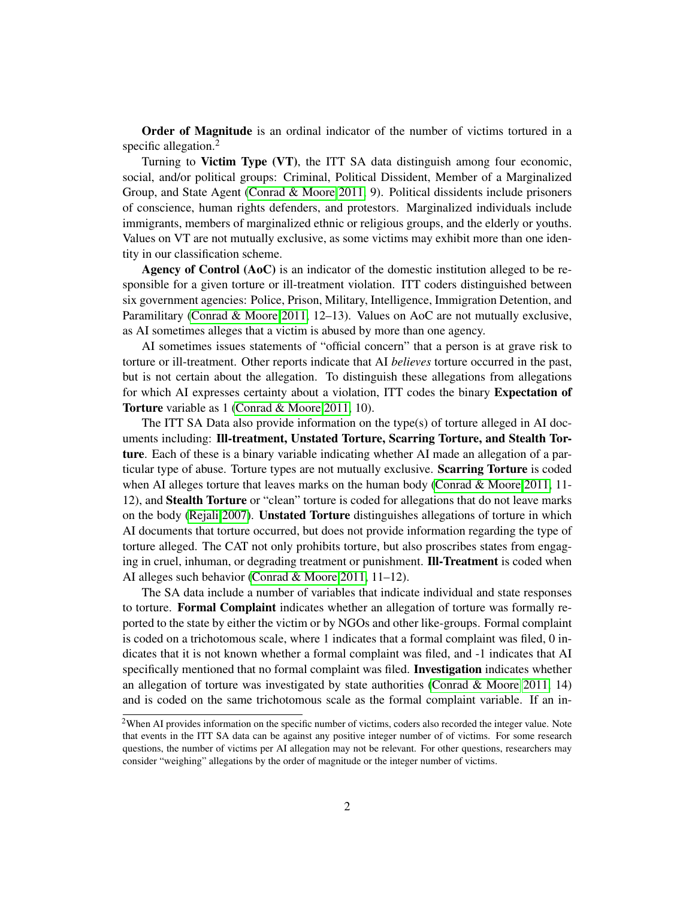Order of Magnitude is an ordinal indicator of the number of victims tortured in a specific allegation. $<sup>2</sup>$ </sup>

Turning to Victim Type (VT), the ITT SA data distinguish among four economic, social, and/or political groups: Criminal, Political Dissident, Member of a Marginalized Group, and State Agent [\(Conrad & Moore 2011,](#page-15-2) 9). Political dissidents include prisoners of conscience, human rights defenders, and protestors. Marginalized individuals include immigrants, members of marginalized ethnic or religious groups, and the elderly or youths. Values on VT are not mutually exclusive, as some victims may exhibit more than one identity in our classification scheme.

Agency of Control (AoC) is an indicator of the domestic institution alleged to be responsible for a given torture or ill-treatment violation. ITT coders distinguished between six government agencies: Police, Prison, Military, Intelligence, Immigration Detention, and Paramilitary [\(Conrad & Moore 2011,](#page-15-2) 12–13). Values on AoC are not mutually exclusive, as AI sometimes alleges that a victim is abused by more than one agency.

AI sometimes issues statements of "official concern" that a person is at grave risk to torture or ill-treatment. Other reports indicate that AI *believes* torture occurred in the past, but is not certain about the allegation. To distinguish these allegations from allegations for which AI expresses certainty about a violation, ITT codes the binary Expectation of Torture variable as 1 [\(Conrad & Moore 2011,](#page-15-2) 10).

The ITT SA Data also provide information on the type(s) of torture alleged in AI documents including: Ill-treatment, Unstated Torture, Scarring Torture, and Stealth Torture. Each of these is a binary variable indicating whether AI made an allegation of a particular type of abuse. Torture types are not mutually exclusive. Scarring Torture is coded when AI alleges torture that leaves marks on the human body [\(Conrad & Moore 2011,](#page-15-2) 11-12), and Stealth Torture or "clean" torture is coded for allegations that do not leave marks on the body [\(Rejali 2007\)](#page-16-0). Unstated Torture distinguishes allegations of torture in which AI documents that torture occurred, but does not provide information regarding the type of torture alleged. The CAT not only prohibits torture, but also proscribes states from engaging in cruel, inhuman, or degrading treatment or punishment. **Ill-Treatment** is coded when AI alleges such behavior [\(Conrad & Moore 2011,](#page-15-2) 11–12).

The SA data include a number of variables that indicate individual and state responses to torture. Formal Complaint indicates whether an allegation of torture was formally reported to the state by either the victim or by NGOs and other like-groups. Formal complaint is coded on a trichotomous scale, where 1 indicates that a formal complaint was filed, 0 indicates that it is not known whether a formal complaint was filed, and -1 indicates that AI specifically mentioned that no formal complaint was filed. **Investigation** indicates whether an allegation of torture was investigated by state authorities [\(Conrad & Moore 2011,](#page-15-2) 14) and is coded on the same trichotomous scale as the formal complaint variable. If an in-

<sup>2</sup>When AI provides information on the specific number of victims, coders also recorded the integer value. Note that events in the ITT SA data can be against any positive integer number of of victims. For some research questions, the number of victims per AI allegation may not be relevant. For other questions, researchers may consider "weighing" allegations by the order of magnitude or the integer number of victims.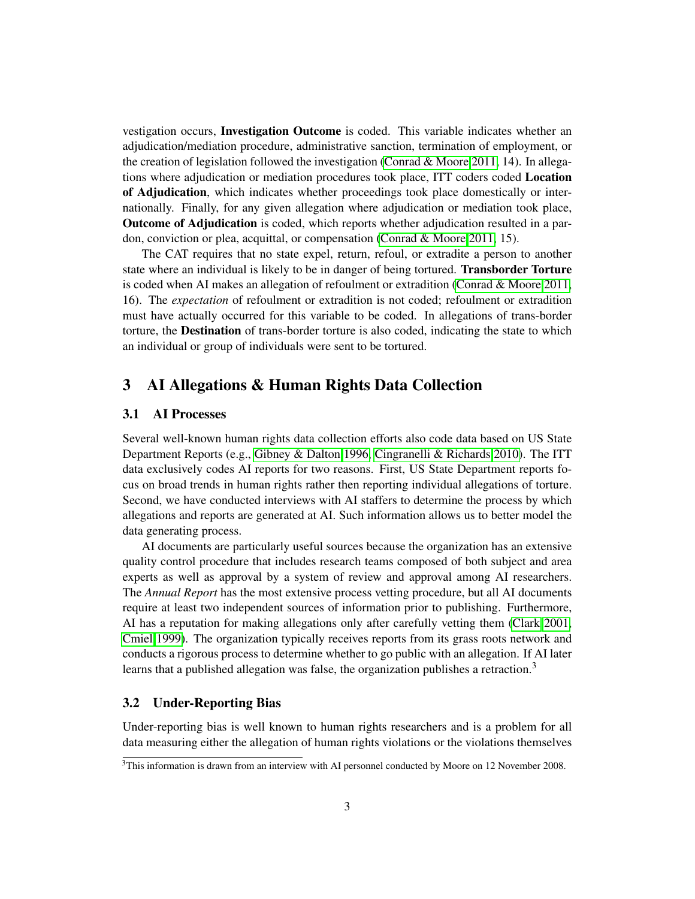vestigation occurs, Investigation Outcome is coded. This variable indicates whether an adjudication/mediation procedure, administrative sanction, termination of employment, or the creation of legislation followed the investigation [\(Conrad & Moore 2011,](#page-15-2) 14). In allegations where adjudication or mediation procedures took place, ITT coders coded Location of Adjudication, which indicates whether proceedings took place domestically or internationally. Finally, for any given allegation where adjudication or mediation took place, Outcome of Adjudication is coded, which reports whether adjudication resulted in a pardon, conviction or plea, acquittal, or compensation [\(Conrad & Moore 2011,](#page-15-2) 15).

The CAT requires that no state expel, return, refoul, or extradite a person to another state where an individual is likely to be in danger of being tortured. Transborder Torture is coded when AI makes an allegation of refoulment or extradition (Conrad  $\&$  Moore 2011, 16). The *expectation* of refoulment or extradition is not coded; refoulment or extradition must have actually occurred for this variable to be coded. In allegations of trans-border torture, the Destination of trans-border torture is also coded, indicating the state to which an individual or group of individuals were sent to be tortured.

## 3 AI Allegations & Human Rights Data Collection

#### 3.1 AI Processes

Several well-known human rights data collection efforts also code data based on US State Department Reports (e.g., [Gibney & Dalton 1996,](#page-16-1) [Cingranelli & Richards 2010\)](#page-15-3). The ITT data exclusively codes AI reports for two reasons. First, US State Department reports focus on broad trends in human rights rather then reporting individual allegations of torture. Second, we have conducted interviews with AI staffers to determine the process by which allegations and reports are generated at AI. Such information allows us to better model the data generating process.

AI documents are particularly useful sources because the organization has an extensive quality control procedure that includes research teams composed of both subject and area experts as well as approval by a system of review and approval among AI researchers. The *Annual Report* has the most extensive process vetting procedure, but all AI documents require at least two independent sources of information prior to publishing. Furthermore, AI has a reputation for making allegations only after carefully vetting them [\(Clark 2001,](#page-15-4) [Cmiel 1999\)](#page-15-5). The organization typically receives reports from its grass roots network and conducts a rigorous process to determine whether to go public with an allegation. If AI later learns that a published allegation was false, the organization publishes a retraction.<sup>3</sup>

#### 3.2 Under-Reporting Bias

Under-reporting bias is well known to human rights researchers and is a problem for all data measuring either the allegation of human rights violations or the violations themselves

<sup>&</sup>lt;sup>3</sup>This information is drawn from an interview with AI personnel conducted by Moore on 12 November 2008.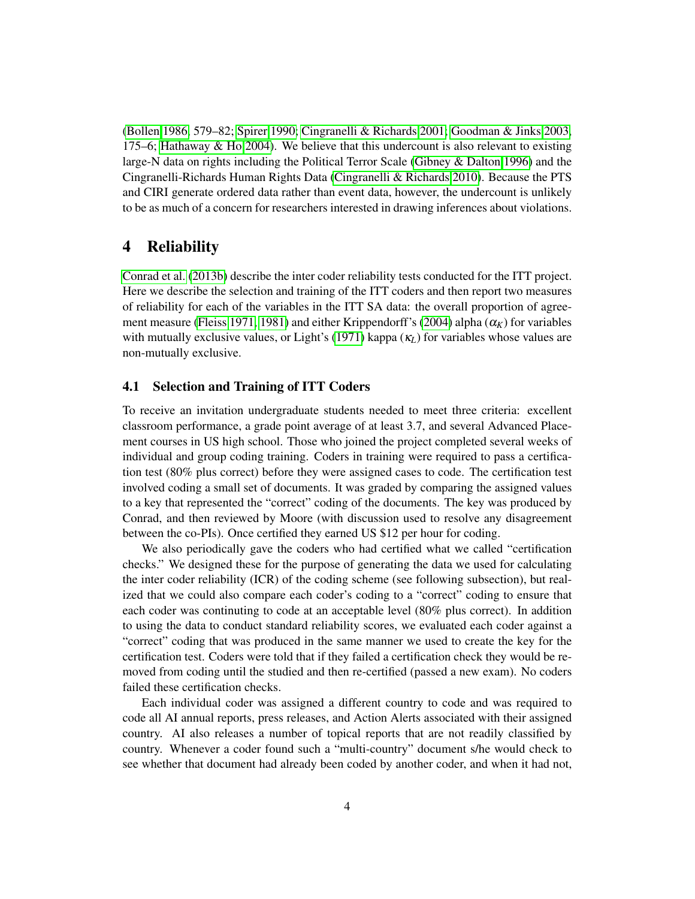[\(Bollen 1986,](#page-15-6) 579–82; [Spirer 1990;](#page-16-2) [Cingranelli & Richards 2001;](#page-15-7) [Goodman & Jinks 2003,](#page-16-3) 175–6; [Hathaway & Ho 2004\)](#page-16-4). We believe that this undercount is also relevant to existing large-N data on rights including the Political Terror Scale [\(Gibney & Dalton 1996\)](#page-16-1) and the Cingranelli-Richards Human Rights Data [\(Cingranelli & Richards 2010\)](#page-15-3). Because the PTS and CIRI generate ordered data rather than event data, however, the undercount is unlikely to be as much of a concern for researchers interested in drawing inferences about violations.

## 4 Reliability

[Conrad et al.](#page-15-8) [\(2013b\)](#page-15-8) describe the inter coder reliability tests conducted for the ITT project. Here we describe the selection and training of the ITT coders and then report two measures of reliability for each of the variables in the ITT SA data: the overall proportion of agree-ment measure [\(Fleiss 1971,](#page-15-9) [1981\)](#page-16-5) and either Krippendorff's [\(2004\)](#page-16-6) alpha  $(\alpha_K)$  for variables with mutually exclusive values, or Light's [\(1971\)](#page-16-7) kappa (κ*L*) for variables whose values are non-mutually exclusive.

#### 4.1 Selection and Training of ITT Coders

To receive an invitation undergraduate students needed to meet three criteria: excellent classroom performance, a grade point average of at least 3.7, and several Advanced Placement courses in US high school. Those who joined the project completed several weeks of individual and group coding training. Coders in training were required to pass a certification test (80% plus correct) before they were assigned cases to code. The certification test involved coding a small set of documents. It was graded by comparing the assigned values to a key that represented the "correct" coding of the documents. The key was produced by Conrad, and then reviewed by Moore (with discussion used to resolve any disagreement between the co-PIs). Once certified they earned US \$12 per hour for coding.

We also periodically gave the coders who had certified what we called "certification checks." We designed these for the purpose of generating the data we used for calculating the inter coder reliability (ICR) of the coding scheme (see following subsection), but realized that we could also compare each coder's coding to a "correct" coding to ensure that each coder was continuting to code at an acceptable level (80% plus correct). In addition to using the data to conduct standard reliability scores, we evaluated each coder against a "correct" coding that was produced in the same manner we used to create the key for the certification test. Coders were told that if they failed a certification check they would be removed from coding until the studied and then re-certified (passed a new exam). No coders failed these certification checks.

Each individual coder was assigned a different country to code and was required to code all AI annual reports, press releases, and Action Alerts associated with their assigned country. AI also releases a number of topical reports that are not readily classified by country. Whenever a coder found such a "multi-country" document s/he would check to see whether that document had already been coded by another coder, and when it had not,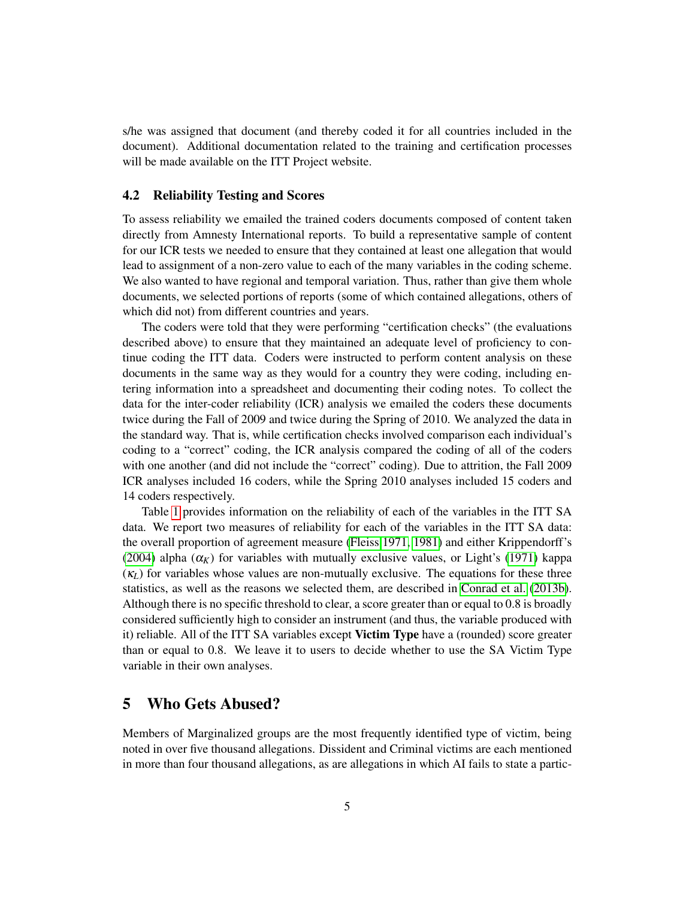s/he was assigned that document (and thereby coded it for all countries included in the document). Additional documentation related to the training and certification processes will be made available on the ITT Project website.

#### 4.2 Reliability Testing and Scores

To assess reliability we emailed the trained coders documents composed of content taken directly from Amnesty International reports. To build a representative sample of content for our ICR tests we needed to ensure that they contained at least one allegation that would lead to assignment of a non-zero value to each of the many variables in the coding scheme. We also wanted to have regional and temporal variation. Thus, rather than give them whole documents, we selected portions of reports (some of which contained allegations, others of which did not) from different countries and years.

The coders were told that they were performing "certification checks" (the evaluations described above) to ensure that they maintained an adequate level of proficiency to continue coding the ITT data. Coders were instructed to perform content analysis on these documents in the same way as they would for a country they were coding, including entering information into a spreadsheet and documenting their coding notes. To collect the data for the inter-coder reliability (ICR) analysis we emailed the coders these documents twice during the Fall of 2009 and twice during the Spring of 2010. We analyzed the data in the standard way. That is, while certification checks involved comparison each individual's coding to a "correct" coding, the ICR analysis compared the coding of all of the coders with one another (and did not include the "correct" coding). Due to attrition, the Fall 2009 ICR analyses included 16 coders, while the Spring 2010 analyses included 15 coders and 14 coders respectively.

Table [1](#page-5-0) provides information on the reliability of each of the variables in the ITT SA data. We report two measures of reliability for each of the variables in the ITT SA data: the overall proportion of agreement measure [\(Fleiss 1971,](#page-15-9) [1981\)](#page-16-5) and either Krippendorff's [\(2004\)](#page-16-6) alpha  $(\alpha_K)$  for variables with mutually exclusive values, or Light's [\(1971\)](#page-16-7) kappa (κ*L*) for variables whose values are non-mutually exclusive. The equations for these three statistics, as well as the reasons we selected them, are described in [Conrad et al.](#page-15-8) [\(2013b\)](#page-15-8). Although there is no specific threshold to clear, a score greater than or equal to 0.8 is broadly considered sufficiently high to consider an instrument (and thus, the variable produced with it) reliable. All of the ITT SA variables except **Victim Type** have a (rounded) score greater than or equal to 0.8. We leave it to users to decide whether to use the SA Victim Type variable in their own analyses.

## 5 Who Gets Abused?

Members of Marginalized groups are the most frequently identified type of victim, being noted in over five thousand allegations. Dissident and Criminal victims are each mentioned in more than four thousand allegations, as are allegations in which AI fails to state a partic-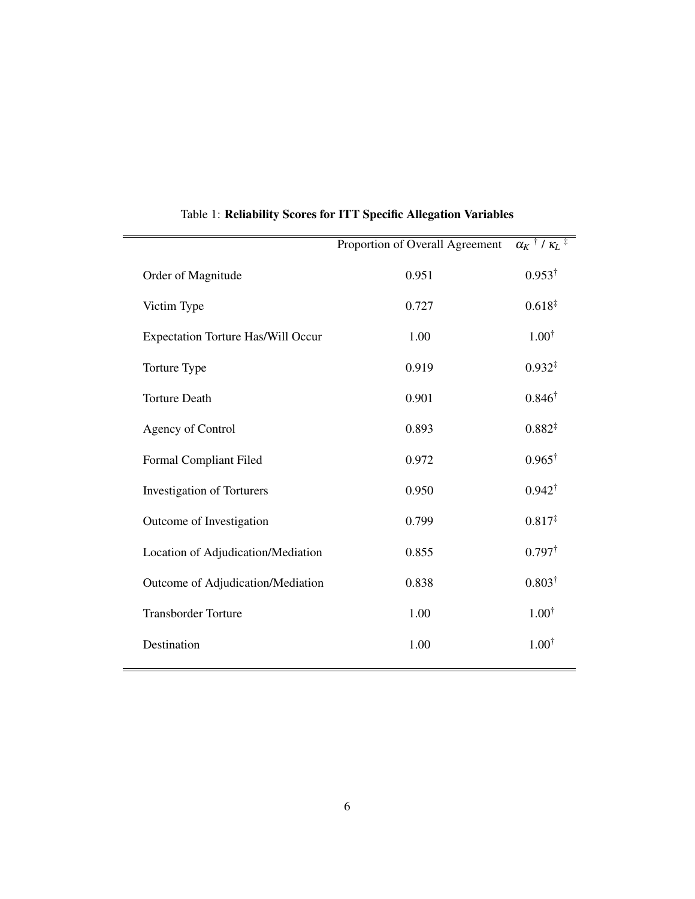| Proportion of Overall Agreement | $\overline{\alpha_K$ <sup>†</sup> / $\overline{\kappa_L}$ <sup>‡</sup> |
|---------------------------------|------------------------------------------------------------------------|
| 0.951                           | $0.953^{\dagger}$                                                      |
| 0.727                           | $0.618*$                                                               |
| 1.00                            | $1.00^{\dagger}$                                                       |
| 0.919                           | $0.932*$                                                               |
| 0.901                           | $0.846^{\dagger}$                                                      |
| 0.893                           | $0.882*$                                                               |
| 0.972                           | $0.965^{\dagger}$                                                      |
| 0.950                           | $0.942^{\dagger}$                                                      |
| 0.799                           | $0.817*$                                                               |
| 0.855                           | $0.797^{\dagger}$                                                      |
| 0.838                           | $0.803^{\dagger}$                                                      |
| 1.00                            | $1.00^{\dagger}$                                                       |
| 1.00                            | $1.00^{\dagger}$                                                       |
|                                 |                                                                        |

<span id="page-5-0"></span>Table 1: Reliability Scores for ITT Specific Allegation Variables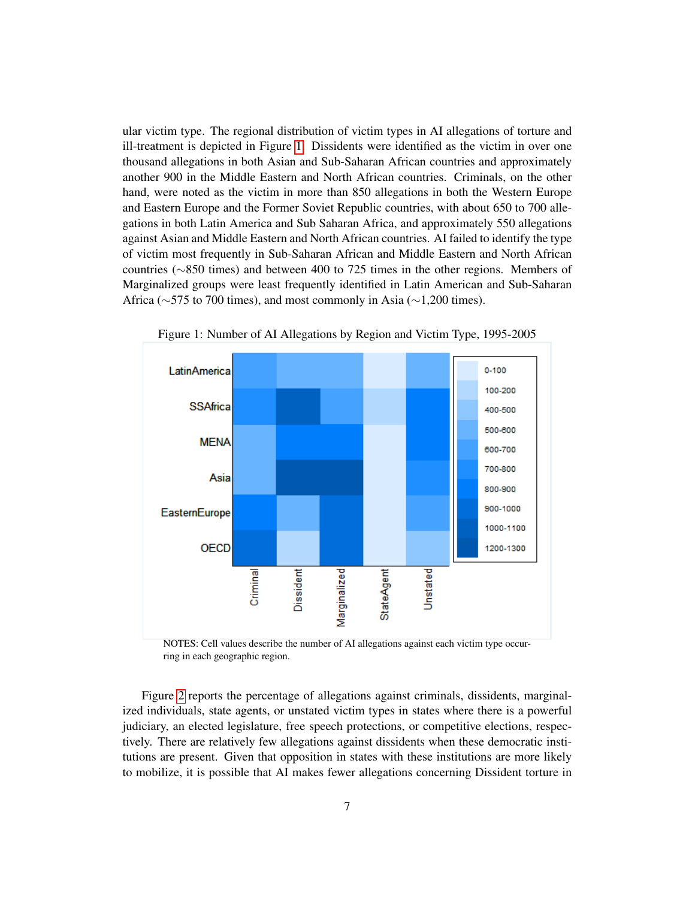ular victim type. The regional distribution of victim types in AI allegations of torture and ill-treatment is depicted in Figure [1.](#page-6-0) Dissidents were identified as the victim in over one thousand allegations in both Asian and Sub-Saharan African countries and approximately another 900 in the Middle Eastern and North African countries. Criminals, on the other hand, were noted as the victim in more than 850 allegations in both the Western Europe and Eastern Europe and the Former Soviet Republic countries, with about 650 to 700 allegations in both Latin America and Sub Saharan Africa, and approximately 550 allegations against Asian and Middle Eastern and North African countries. AI failed to identify the type of victim most frequently in Sub-Saharan African and Middle Eastern and North African countries (∼850 times) and between 400 to 725 times in the other regions. Members of Marginalized groups were least frequently identified in Latin American and Sub-Saharan Africa (∼575 to 700 times), and most commonly in Asia (∼1,200 times).



<span id="page-6-0"></span>Figure 1: Number of AI Allegations by Region and Victim Type, 1995-2005

NOTES: Cell values describe the number of AI allegations against each victim type occurring in each geographic region.

Figure [2](#page-7-0) reports the percentage of allegations against criminals, dissidents, marginalized individuals, state agents, or unstated victim types in states where there is a powerful judiciary, an elected legislature, free speech protections, or competitive elections, respectively. There are relatively few allegations against dissidents when these democratic institutions are present. Given that opposition in states with these institutions are more likely to mobilize, it is possible that AI makes fewer allegations concerning Dissident torture in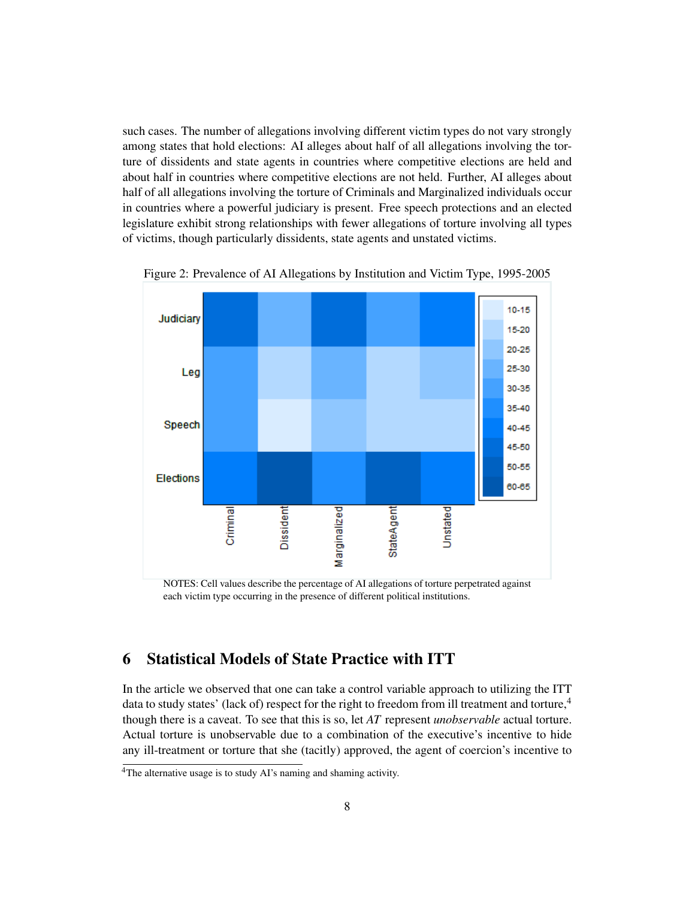such cases. The number of allegations involving different victim types do not vary strongly among states that hold elections: AI alleges about half of all allegations involving the torture of dissidents and state agents in countries where competitive elections are held and about half in countries where competitive elections are not held. Further, AI alleges about half of all allegations involving the torture of Criminals and Marginalized individuals occur in countries where a powerful judiciary is present. Free speech protections and an elected legislature exhibit strong relationships with fewer allegations of torture involving all types of victims, though particularly dissidents, state agents and unstated victims.



<span id="page-7-0"></span>Figure 2: Prevalence of AI Allegations by Institution and Victim Type, 1995-2005

NOTES: Cell values describe the percentage of AI allegations of torture perpetrated against each victim type occurring in the presence of different political institutions.

# 6 Statistical Models of State Practice with ITT

In the article we observed that one can take a control variable approach to utilizing the ITT data to study states' (lack of) respect for the right to freedom from ill treatment and torture,<sup>4</sup> though there is a caveat. To see that this is so, let *AT* represent *unobservable* actual torture. Actual torture is unobservable due to a combination of the executive's incentive to hide any ill-treatment or torture that she (tacitly) approved, the agent of coercion's incentive to

<sup>&</sup>lt;sup>4</sup>The alternative usage is to study AI's naming and shaming activity.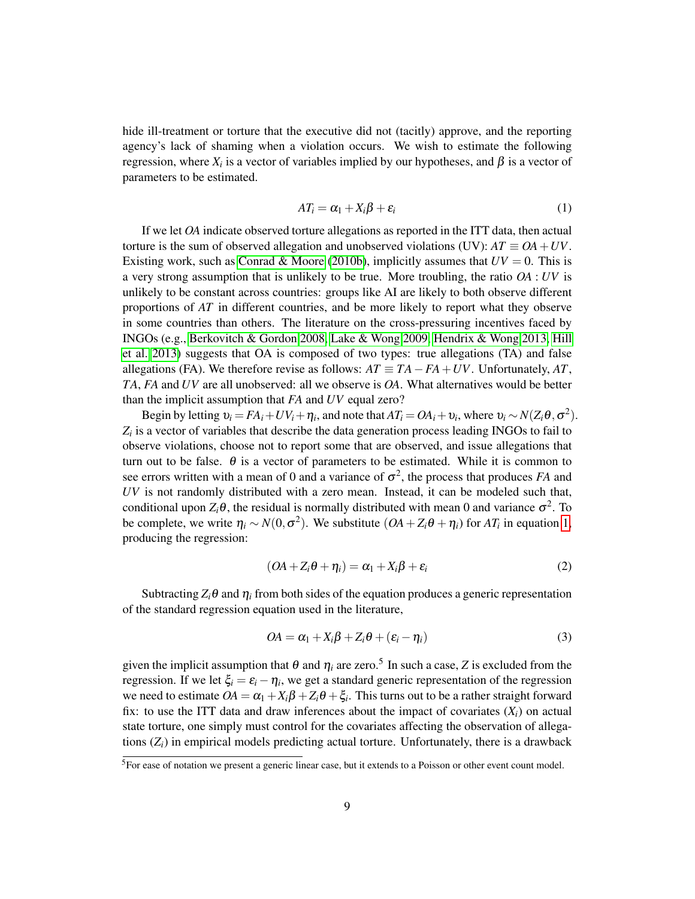hide ill-treatment or torture that the executive did not (tacitly) approve, and the reporting agency's lack of shaming when a violation occurs. We wish to estimate the following regression, where  $X_i$  is a vector of variables implied by our hypotheses, and  $β$  is a vector of parameters to be estimated.

<span id="page-8-0"></span>
$$
AT_i = \alpha_1 + X_i\beta + \varepsilon_i \tag{1}
$$

If we let *OA* indicate observed torture allegations as reported in the ITT data, then actual torture is the sum of observed allegation and unobserved violations (UV):  $AT \equiv OA + UV$ . Existing work, such as [Conrad & Moore](#page-15-10) [\(2010b\)](#page-15-10), implicitly assumes that  $UV = 0$ . This is a very strong assumption that is unlikely to be true. More troubling, the ratio *OA* : *UV* is unlikely to be constant across countries: groups like AI are likely to both observe different proportions of *AT* in different countries, and be more likely to report what they observe in some countries than others. The literature on the cross-pressuring incentives faced by INGOs (e.g., [Berkovitch & Gordon 2008,](#page-15-11) [Lake & Wong 2009,](#page-16-8) [Hendrix & Wong 2013,](#page-16-9) [Hill](#page-16-10) [et al. 2013\)](#page-16-10) suggests that OA is composed of two types: true allegations (TA) and false allegations (FA). We therefore revise as follows:  $AT \equiv TA - FA + UV$ . Unfortunately,  $AT$ , *TA*, *FA* and *UV* are all unobserved: all we observe is *OA*. What alternatives would be better than the implicit assumption that *FA* and *UV* equal zero?

Begin by letting  $v_i = FA_i + UV_i + \eta_i$ , and note that  $AT_i = OA_i + v_i$ , where  $v_i \sim N(Z_i \theta, \sigma^2)$ . *Zi* is a vector of variables that describe the data generation process leading INGOs to fail to observe violations, choose not to report some that are observed, and issue allegations that turn out to be false.  $\theta$  is a vector of parameters to be estimated. While it is common to see errors written with a mean of 0 and a variance of  $\sigma^2$ , the process that produces *FA* and *UV* is not randomly distributed with a zero mean. Instead, it can be modeled such that, conditional upon  $Z_i \theta$ , the residual is normally distributed with mean 0 and variance  $\sigma^2$ . To be complete, we write  $\eta_i \sim N(0, \sigma^2)$ . We substitute  $(OA + Z_i \theta + \eta_i)$  for  $AT_i$  in equation [1,](#page-8-0) producing the regression:

$$
(OA + Z_i \theta + \eta_i) = \alpha_1 + X_i \beta + \varepsilon_i \tag{2}
$$

Subtracting  $Z_i\theta$  and  $\eta_i$  from both sides of the equation produces a generic representation of the standard regression equation used in the literature,

$$
OA = \alpha_1 + X_i\beta + Z_i\theta + (\varepsilon_i - \eta_i)
$$
\n(3)

given the implicit assumption that  $\theta$  and  $\eta_i$  are zero.<sup>5</sup> In such a case, *Z* is excluded from the regression. If we let  $\xi_i = \varepsilon_i - \eta_i$ , we get a standard generic representation of the regression we need to estimate  $OA = \alpha_1 + X_i\beta + Z_i\theta + \xi_i$ . This turns out to be a rather straight forward fix: to use the ITT data and draw inferences about the impact of covariates  $(X_i)$  on actual state torture, one simply must control for the covariates affecting the observation of allegations  $(Z_i)$  in empirical models predicting actual torture. Unfortunately, there is a drawback

<sup>5</sup>For ease of notation we present a generic linear case, but it extends to a Poisson or other event count model.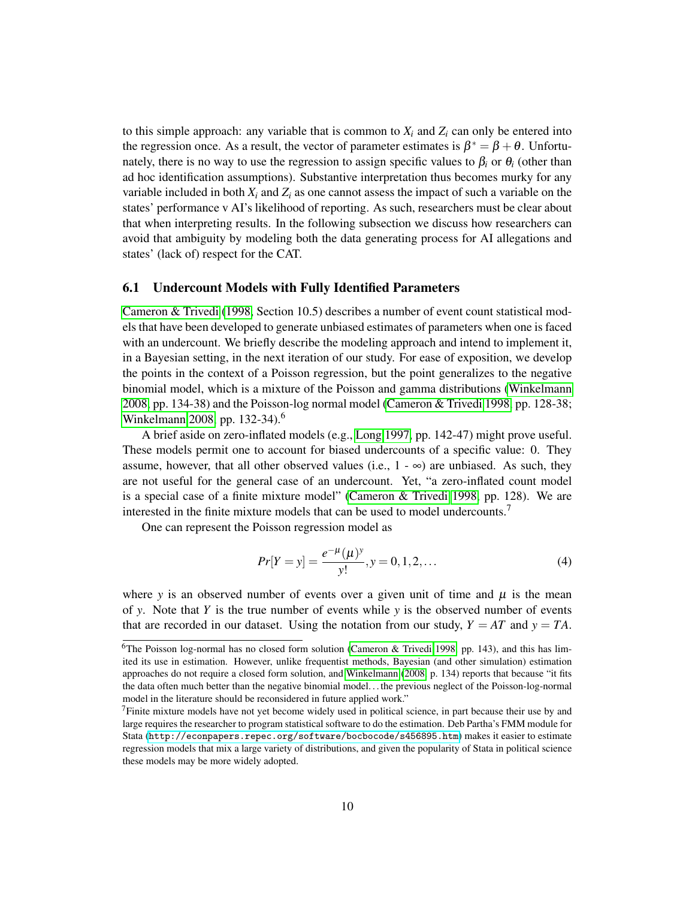to this simple approach: any variable that is common to  $X_i$  and  $Z_i$  can only be entered into the regression once. As a result, the vector of parameter estimates is  $\beta^* = \beta + \theta$ . Unfortunately, there is no way to use the regression to assign specific values to  $\beta_i$  or  $\theta_i$  (other than ad hoc identification assumptions). Substantive interpretation thus becomes murky for any variable included in both  $X_i$  and  $Z_i$  as one cannot assess the impact of such a variable on the states' performance v AI's likelihood of reporting. As such, researchers must be clear about that when interpreting results. In the following subsection we discuss how researchers can avoid that ambiguity by modeling both the data generating process for AI allegations and states' (lack of) respect for the CAT.

#### 6.1 Undercount Models with Fully Identified Parameters

[Cameron & Trivedi](#page-15-12) [\(1998,](#page-15-12) Section 10.5) describes a number of event count statistical models that have been developed to generate unbiased estimates of parameters when one is faced with an undercount. We briefly describe the modeling approach and intend to implement it, in a Bayesian setting, in the next iteration of our study. For ease of exposition, we develop the points in the context of a Poisson regression, but the point generalizes to the negative binomial model, which is a mixture of the Poisson and gamma distributions [\(Winkelmann](#page-16-11) [2008,](#page-16-11) pp. 134-38) and the Poisson-log normal model [\(Cameron & Trivedi 1998,](#page-15-12) pp. 128-38; [Winkelmann 2008,](#page-16-11) pp. 132-34).<sup>6</sup>

A brief aside on zero-inflated models (e.g., [Long 1997,](#page-16-12) pp. 142-47) might prove useful. These models permit one to account for biased undercounts of a specific value: 0. They assume, however, that all other observed values (i.e.,  $1 - \infty$ ) are unbiased. As such, they are not useful for the general case of an undercount. Yet, "a zero-inflated count model is a special case of a finite mixture model" [\(Cameron & Trivedi 1998,](#page-15-12) pp. 128). We are interested in the finite mixture models that can be used to model undercounts.<sup>7</sup>

One can represent the Poisson regression model as

<span id="page-9-0"></span>
$$
Pr[Y = y] = \frac{e^{-\mu}(\mu)^y}{y!}, y = 0, 1, 2, \dots
$$
\n(4)

where *y* is an observed number of events over a given unit of time and  $\mu$  is the mean of *y*. Note that *Y* is the true number of events while *y* is the observed number of events that are recorded in our dataset. Using the notation from our study,  $Y = AT$  and  $y = TA$ .

<sup>&</sup>lt;sup>6</sup>The Poisson log-normal has no closed form solution [\(Cameron & Trivedi 1998,](#page-15-12) pp. 143), and this has limited its use in estimation. However, unlike frequentist methods, Bayesian (and other simulation) estimation approaches do not require a closed form solution, and [Winkelmann](#page-16-11) [\(2008,](#page-16-11) p. 134) reports that because "it fits the data often much better than the negative binomial model. . . the previous neglect of the Poisson-log-normal model in the literature should be reconsidered in future applied work."

<sup>&</sup>lt;sup>7</sup>Finite mixture models have not yet become widely used in political science, in part because their use by and large requires the researcher to program statistical software to do the estimation. Deb Partha's FMM module for Stata (<http://econpapers.repec.org/software/bocbocode/s456895.htm>) makes it easier to estimate regression models that mix a large variety of distributions, and given the popularity of Stata in political science these models may be more widely adopted.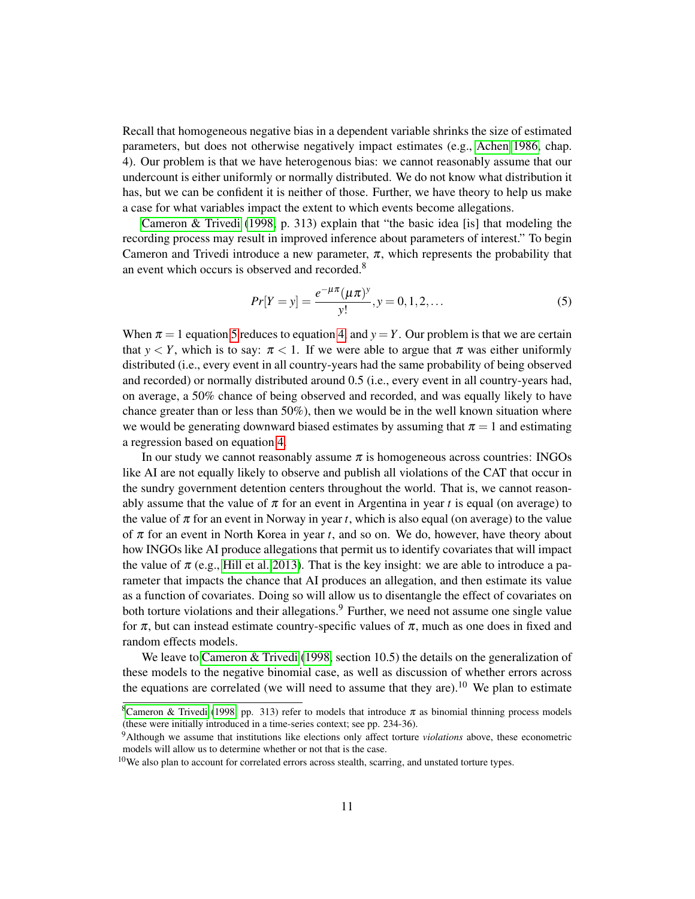Recall that homogeneous negative bias in a dependent variable shrinks the size of estimated parameters, but does not otherwise negatively impact estimates (e.g., [Achen 1986,](#page-15-13) chap. 4). Our problem is that we have heterogenous bias: we cannot reasonably assume that our undercount is either uniformly or normally distributed. We do not know what distribution it has, but we can be confident it is neither of those. Further, we have theory to help us make a case for what variables impact the extent to which events become allegations.

Cameron  $\&$  Trivedi [\(1998,](#page-15-12) p. 313) explain that "the basic idea [is] that modeling the recording process may result in improved inference about parameters of interest." To begin Cameron and Trivedi introduce a new parameter,  $\pi$ , which represents the probability that an event which occurs is observed and recorded.<sup>8</sup>

<span id="page-10-0"></span>
$$
Pr[Y = y] = \frac{e^{-\mu\pi}(\mu\pi)^y}{y!}, y = 0, 1, 2, ...
$$
\n(5)

When  $\pi = 1$  equation [5](#page-10-0) reduces to equation [4,](#page-9-0) and  $y = Y$ . Our problem is that we are certain that  $y < Y$ , which is to say:  $\pi < 1$ . If we were able to argue that  $\pi$  was either uniformly distributed (i.e., every event in all country-years had the same probability of being observed and recorded) or normally distributed around 0.5 (i.e., every event in all country-years had, on average, a 50% chance of being observed and recorded, and was equally likely to have chance greater than or less than  $50\%$ ), then we would be in the well known situation where we would be generating downward biased estimates by assuming that  $\pi = 1$  and estimating a regression based on equation [4.](#page-9-0)

In our study we cannot reasonably assume  $\pi$  is homogeneous across countries: INGOs like AI are not equally likely to observe and publish all violations of the CAT that occur in the sundry government detention centers throughout the world. That is, we cannot reasonably assume that the value of  $\pi$  for an event in Argentina in year t is equal (on average) to the value of  $\pi$  for an event in Norway in year *t*, which is also equal (on average) to the value of  $\pi$  for an event in North Korea in year  $t$ , and so on. We do, however, have theory about how INGOs like AI produce allegations that permit us to identify covariates that will impact the value of  $\pi$  (e.g., [Hill et al. 2013\)](#page-16-10). That is the key insight: we are able to introduce a parameter that impacts the chance that AI produces an allegation, and then estimate its value as a function of covariates. Doing so will allow us to disentangle the effect of covariates on both torture violations and their allegations.<sup>9</sup> Further, we need not assume one single value for  $\pi$ , but can instead estimate country-specific values of  $\pi$ , much as one does in fixed and random effects models.

We leave to [Cameron & Trivedi](#page-15-12) [\(1998,](#page-15-12) section 10.5) the details on the generalization of these models to the negative binomial case, as well as discussion of whether errors across the equations are correlated (we will need to assume that they are).<sup>10</sup> We plan to estimate

<sup>&</sup>lt;sup>8</sup>[Cameron & Trivedi](#page-15-12) [\(1998,](#page-15-12) pp. 313) refer to models that introduce  $\pi$  as binomial thinning process models (these were initially introduced in a time-series context; see pp. 234-36).

<sup>9</sup>Although we assume that institutions like elections only affect torture *violations* above, these econometric models will allow us to determine whether or not that is the case.

 $10$ We also plan to account for correlated errors across stealth, scarring, and unstated torture types.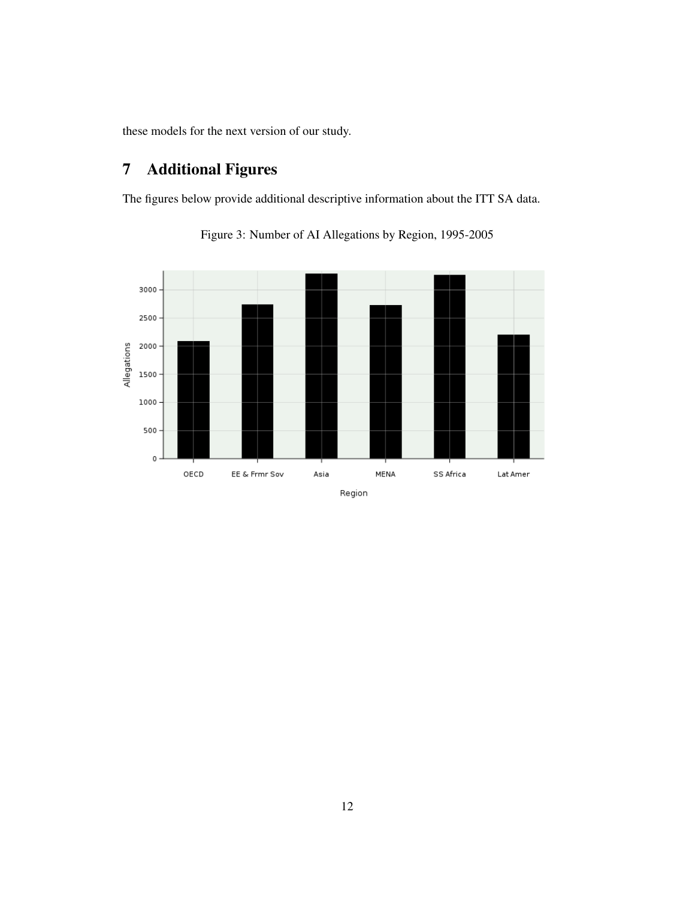these models for the next version of our study.

# 7 Additional Figures

The figures below provide additional descriptive information about the ITT SA data.



Figure 3: Number of AI Allegations by Region, 1995-2005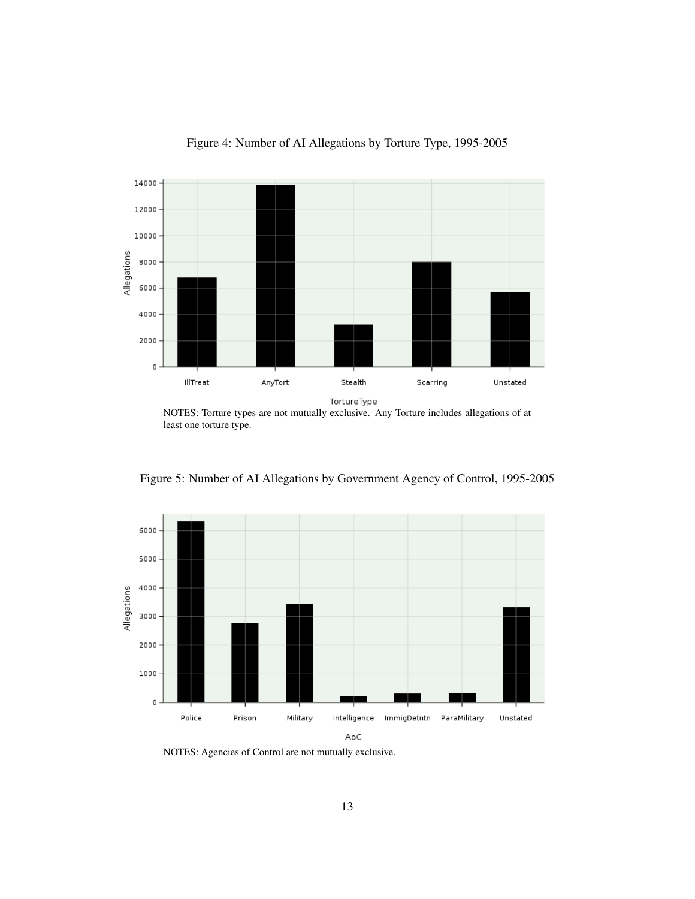

Figure 4: Number of AI Allegations by Torture Type, 1995-2005

NOTES: Torture types are not mutually exclusive. Any Torture includes allegations of at least one torture type.



Figure 5: Number of AI Allegations by Government Agency of Control, 1995-2005

NOTES: Agencies of Control are not mutually exclusive.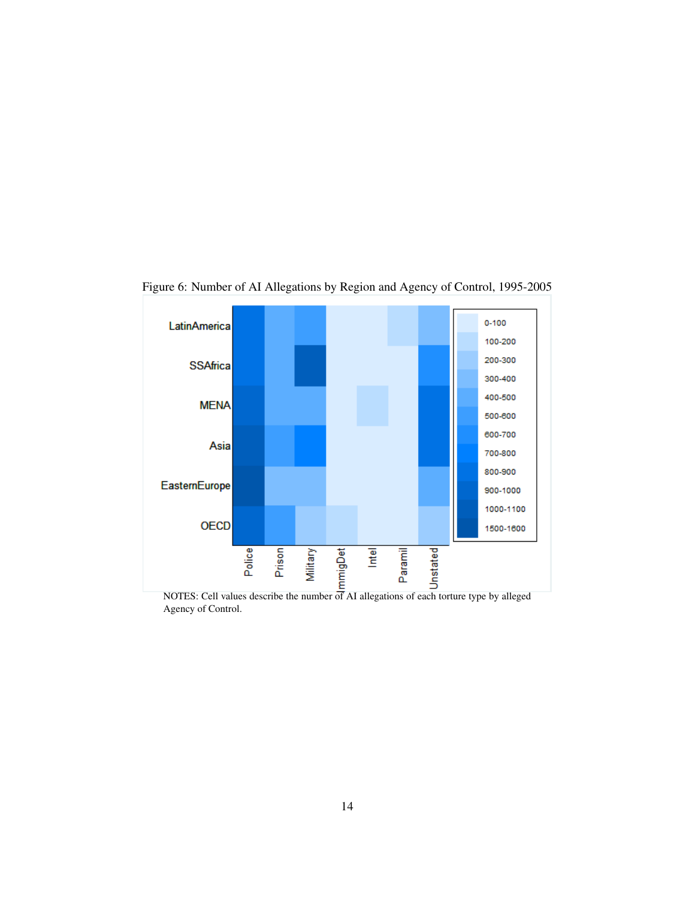

Figure 6: Number of AI Allegations by Region and Agency of Control, 1995-2005

Agency of Control.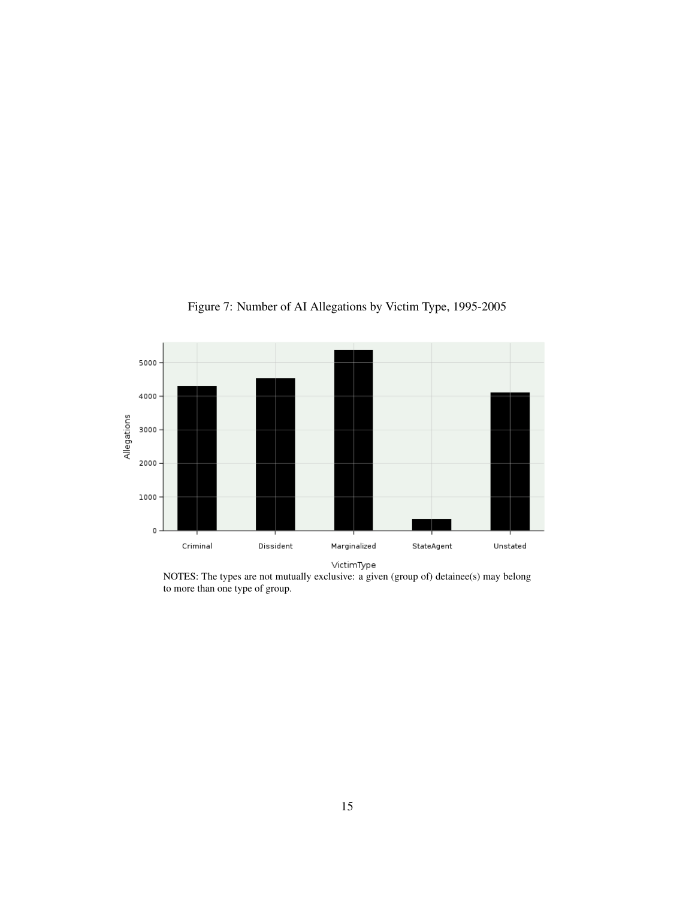

Figure 7: Number of AI Allegations by Victim Type, 1995-2005

NOTES: The types are not mutually exclusive: a given (group of) detainee(s) may belong to more than one type of group.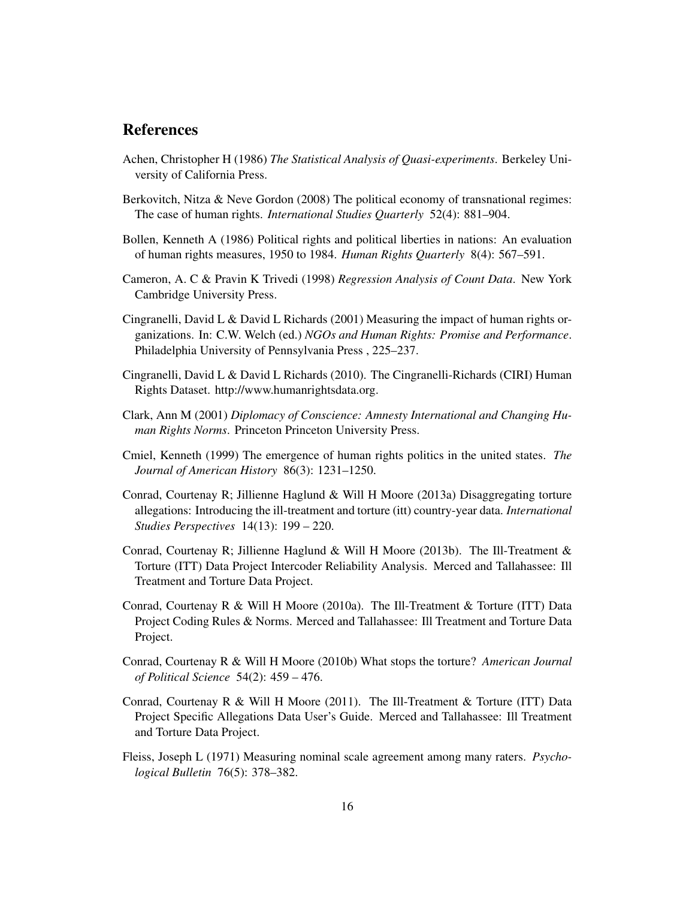## References

- <span id="page-15-13"></span>Achen, Christopher H (1986) *The Statistical Analysis of Quasi-experiments*. Berkeley University of California Press.
- <span id="page-15-11"></span>Berkovitch, Nitza & Neve Gordon (2008) The political economy of transnational regimes: The case of human rights. *International Studies Quarterly* 52(4): 881–904.
- <span id="page-15-6"></span>Bollen, Kenneth A (1986) Political rights and political liberties in nations: An evaluation of human rights measures, 1950 to 1984. *Human Rights Quarterly* 8(4): 567–591.
- <span id="page-15-12"></span>Cameron, A. C & Pravin K Trivedi (1998) *Regression Analysis of Count Data*. New York Cambridge University Press.
- <span id="page-15-7"></span>Cingranelli, David L & David L Richards (2001) Measuring the impact of human rights organizations. In: C.W. Welch (ed.) *NGOs and Human Rights: Promise and Performance*. Philadelphia University of Pennsylvania Press , 225–237.
- <span id="page-15-3"></span>Cingranelli, David L & David L Richards (2010). The Cingranelli-Richards (CIRI) Human Rights Dataset. http://www.humanrightsdata.org.
- <span id="page-15-4"></span>Clark, Ann M (2001) *Diplomacy of Conscience: Amnesty International and Changing Human Rights Norms*. Princeton Princeton University Press.
- <span id="page-15-5"></span>Cmiel, Kenneth (1999) The emergence of human rights politics in the united states. *The Journal of American History* 86(3): 1231–1250.
- <span id="page-15-1"></span>Conrad, Courtenay R; Jillienne Haglund & Will H Moore (2013a) Disaggregating torture allegations: Introducing the ill-treatment and torture (itt) country-year data. *International Studies Perspectives* 14(13): 199 – 220.
- <span id="page-15-8"></span>Conrad, Courtenay R; Jillienne Haglund & Will H Moore (2013b). The Ill-Treatment  $\&$ Torture (ITT) Data Project Intercoder Reliability Analysis. Merced and Tallahassee: Ill Treatment and Torture Data Project.
- <span id="page-15-0"></span>Conrad, Courtenay R & Will H Moore (2010a). The Ill-Treatment & Torture (ITT) Data Project Coding Rules & Norms. Merced and Tallahassee: Ill Treatment and Torture Data Project.
- <span id="page-15-10"></span>Conrad, Courtenay R & Will H Moore (2010b) What stops the torture? *American Journal of Political Science* 54(2): 459 – 476.
- <span id="page-15-2"></span>Conrad, Courtenay R & Will H Moore (2011). The Ill-Treatment & Torture (ITT) Data Project Specific Allegations Data User's Guide. Merced and Tallahassee: Ill Treatment and Torture Data Project.
- <span id="page-15-9"></span>Fleiss, Joseph L (1971) Measuring nominal scale agreement among many raters. *Psychological Bulletin* 76(5): 378–382.